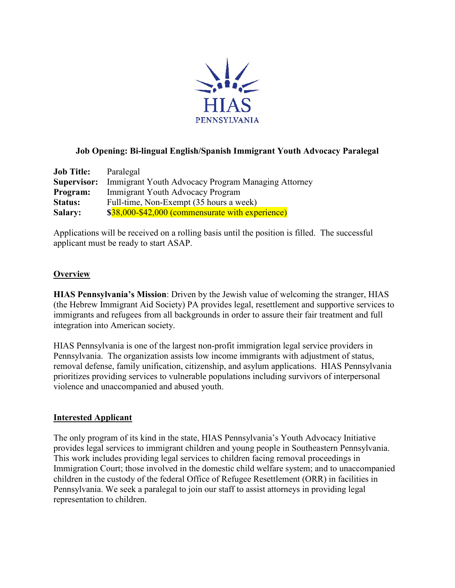

# **Job Opening: Bi-lingual English/Spanish Immigrant Youth Advocacy Paralegal**

| <b>Job Title:</b> | Paralegal                                          |
|-------------------|----------------------------------------------------|
| Supervisor:       | Immigrant Youth Advocacy Program Managing Attorney |
| Program:          | Immigrant Youth Advocacy Program                   |
| <b>Status:</b>    | Full-time, Non-Exempt (35 hours a week)            |
| <b>Salary:</b>    | \$38,000-\$42,000 (commensurate with experience)   |

Applications will be received on a rolling basis until the position is filled. The successful applicant must be ready to start ASAP.

# **Overview**

**HIAS Pennsylvania's Mission**: Driven by the Jewish value of welcoming the stranger, HIAS (the Hebrew Immigrant Aid Society) PA provides legal, resettlement and supportive services to immigrants and refugees from all backgrounds in order to assure their fair treatment and full integration into American society.

HIAS Pennsylvania is one of the largest non-profit immigration legal service providers in Pennsylvania. The organization assists low income immigrants with adjustment of status, removal defense, family unification, citizenship, and asylum applications. HIAS Pennsylvania prioritizes providing services to vulnerable populations including survivors of interpersonal violence and unaccompanied and abused youth.

#### **Interested Applicant**

The only program of its kind in the state, HIAS Pennsylvania's Youth Advocacy Initiative provides legal services to immigrant children and young people in Southeastern Pennsylvania. This work includes providing legal services to children facing removal proceedings in Immigration Court; those involved in the domestic child welfare system; and to unaccompanied children in the custody of the federal Office of Refugee Resettlement (ORR) in facilities in Pennsylvania. We seek a paralegal to join our staff to assist attorneys in providing legal representation to children.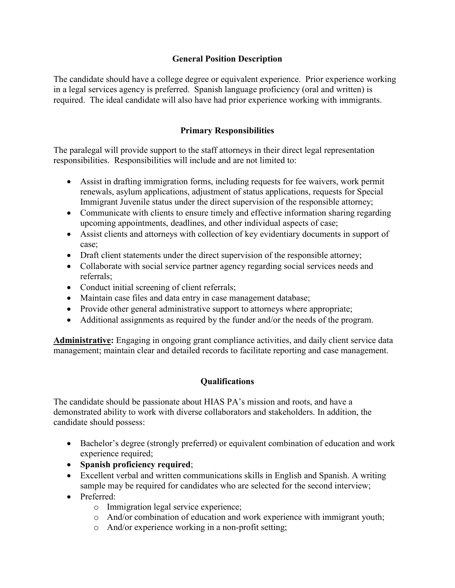# **General Position Description**

The candidate should have a college degree or equivalent experience. Prior experience working in a legal services agency is preferred. Spanish language proficiency (oral and written) is required. The ideal candidate will also have had prior experience working with immigrants.

# **Primary Responsibilities**

The paralegal will provide support to the staff attorneys in their direct legal representation responsibilities. Responsibilities will include and are not limited to:

- Assist in drafting immigration forms, including requests for fee waivers, work permit renewals, asylum applications, adjustment of status applications, requests for Special Immigrant Juvenile status under the direct supervision of the responsible attorney;
- Communicate with clients to ensure timely and effective information sharing regarding upcoming appointments, deadlines, and other individual aspects of case;
- Assist clients and attorneys with collection of key evidentiary documents in support of case;
- Draft client statements under the direct supervision of the responsible attorney;
- Collaborate with social service partner agency regarding social services needs and referrals;
- Conduct initial screening of client referrals;
- Maintain case files and data entry in case management database;
- Provide other general administrative support to attorneys where appropriate;
- Additional assignments as required by the funder and/or the needs of the program.

**Administrative:** Engaging in ongoing grant compliance activities, and daily client service data management; maintain clear and detailed records to facilitate reporting and case management.

# **Qualifications**

The candidate should be passionate about HIAS PA's mission and roots, and have a demonstrated ability to work with diverse collaborators and stakeholders. In addition, the candidate should possess:

- Bachelor's degree (strongly preferred) or equivalent combination of education and work experience required;
- **Spanish proficiency required**;
- Excellent verbal and written communications skills in English and Spanish. A writing sample may be required for candidates who are selected for the second interview;
- Preferred:
	- o Immigration legal service experience;
	- o And/or combination of education and work experience with immigrant youth;
	- o And/or experience working in a non-profit setting;